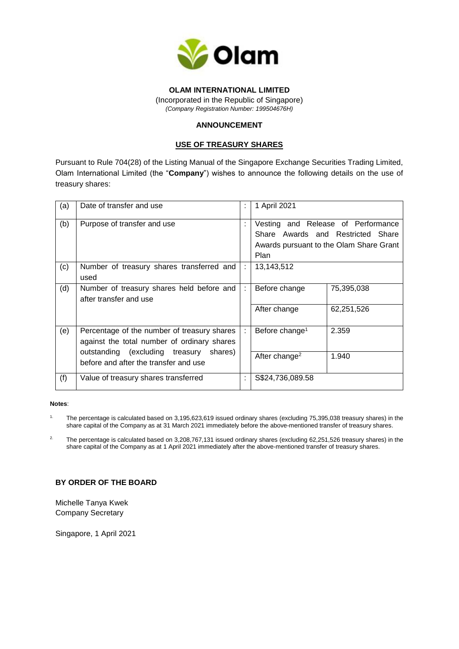

# **OLAM INTERNATIONAL LIMITED**

(Incorporated in the Republic of Singapore) *(Company Registration Number: 199504676H)*

# **ANNOUNCEMENT**

### **USE OF TREASURY SHARES**

Pursuant to Rule 704(28) of the Listing Manual of the Singapore Exchange Securities Trading Limited, Olam International Limited (the "**Company**") wishes to announce the following details on the use of treasury shares:

| (a) | Date of transfer and use                                                                                                                                                       |   | 1 April 2021                                                                                                                      |
|-----|--------------------------------------------------------------------------------------------------------------------------------------------------------------------------------|---|-----------------------------------------------------------------------------------------------------------------------------------|
| (b) | Purpose of transfer and use                                                                                                                                                    |   | Vesting and Release of Performance<br>Share Awards and Restricted Share<br>Awards pursuant to the Olam Share Grant<br><b>Plan</b> |
| (c) | Number of treasury shares transferred and<br>used                                                                                                                              | ÷ | 13,143,512                                                                                                                        |
| (d) | Number of treasury shares held before and<br>after transfer and use                                                                                                            |   | 75,395,038<br>Before change                                                                                                       |
|     |                                                                                                                                                                                |   | 62,251,526<br>After change                                                                                                        |
| (e) | Percentage of the number of treasury shares<br>against the total number of ordinary shares<br>outstanding (excluding treasury shares)<br>before and after the transfer and use |   | 2.359<br>Before change <sup>1</sup>                                                                                               |
|     |                                                                                                                                                                                |   | After change <sup>2</sup><br>1.940                                                                                                |
| (f) | Value of treasury shares transferred                                                                                                                                           | ÷ | S\$24,736,089.58                                                                                                                  |

#### **Notes**:

1. The percentage is calculated based on 3,195,623,619 issued ordinary shares (excluding 75,395,038 treasury shares) in the share capital of the Company as at 31 March 2021 immediately before the above-mentioned transfer of treasury shares.

<sup>2.</sup> The percentage is calculated based on 3,208,767,131 issued ordinary shares (excluding 62,251,526 treasury shares) in the share capital of the Company as at 1 April 2021 immediately after the above-mentioned transfer of treasury shares.

### **BY ORDER OF THE BOARD**

Michelle Tanya Kwek Company Secretary

Singapore, 1 April 2021